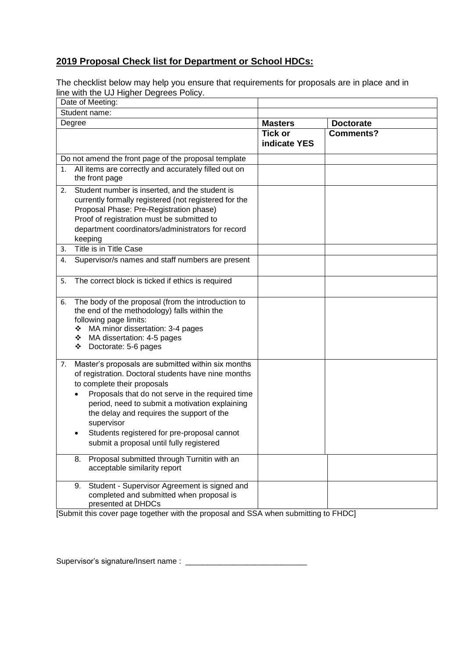# **2019 Proposal Check list for Department or School HDCs:**

The checklist below may help you ensure that requirements for proposals are in place and in line with the UJ Higher Degrees Policy.

|               | Date of Meeting:                                                                                                                                                                                                                                                                                                                                                                                     |                                |                  |
|---------------|------------------------------------------------------------------------------------------------------------------------------------------------------------------------------------------------------------------------------------------------------------------------------------------------------------------------------------------------------------------------------------------------------|--------------------------------|------------------|
| Student name: |                                                                                                                                                                                                                                                                                                                                                                                                      |                                |                  |
| Degree        |                                                                                                                                                                                                                                                                                                                                                                                                      | <b>Masters</b>                 | <b>Doctorate</b> |
|               |                                                                                                                                                                                                                                                                                                                                                                                                      | <b>Tick or</b><br>indicate YES | <b>Comments?</b> |
|               | Do not amend the front page of the proposal template                                                                                                                                                                                                                                                                                                                                                 |                                |                  |
| 1.            | All items are correctly and accurately filled out on<br>the front page                                                                                                                                                                                                                                                                                                                               |                                |                  |
| 2.            | Student number is inserted, and the student is<br>currently formally registered (not registered for the<br>Proposal Phase: Pre-Registration phase)<br>Proof of registration must be submitted to<br>department coordinators/administrators for record<br>keeping                                                                                                                                     |                                |                  |
| 3.            | Title is in Title Case                                                                                                                                                                                                                                                                                                                                                                               |                                |                  |
| 4.            | Supervisor/s names and staff numbers are present                                                                                                                                                                                                                                                                                                                                                     |                                |                  |
| 5.            | The correct block is ticked if ethics is required                                                                                                                                                                                                                                                                                                                                                    |                                |                  |
| 6.            | The body of the proposal (from the introduction to<br>the end of the methodology) falls within the<br>following page limits:<br>MA minor dissertation: 3-4 pages<br>❖ MA dissertation: 4-5 pages<br>Doctorate: 5-6 pages<br>❖                                                                                                                                                                        |                                |                  |
| 7.            | Master's proposals are submitted within six months<br>of registration. Doctoral students have nine months<br>to complete their proposals<br>Proposals that do not serve in the required time<br>period, need to submit a motivation explaining<br>the delay and requires the support of the<br>supervisor<br>Students registered for pre-proposal cannot<br>submit a proposal until fully registered |                                |                  |
|               | Proposal submitted through Turnitin with an<br>8.<br>acceptable similarity report                                                                                                                                                                                                                                                                                                                    |                                |                  |
|               | Student - Supervisor Agreement is signed and<br>9.<br>completed and submitted when proposal is<br>presented at DHDCs                                                                                                                                                                                                                                                                                 |                                |                  |

[Submit this cover page together with the proposal and SSA when submitting to FHDC]

Supervisor's signature/Insert name : \_\_\_\_\_\_\_\_\_\_\_\_\_\_\_\_\_\_\_\_\_\_\_\_\_\_\_\_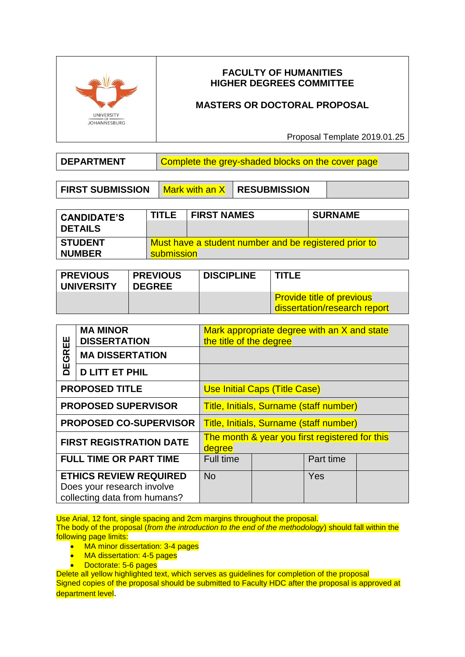

# **FACULTY OF HUMANITIES HIGHER DEGREES COMMITTEE**

# **MASTERS OR DOCTORAL PROPOSAL**

Proposal Template 2019.01.25

**DEPARTMENT** | Complete the grey-shaded blocks on the cover page

**FIRST SUBMISSION** | Mark with an X | RESUBMISSION

| <b>CANDIDATE'S</b><br><b>DETAILS</b> | <b>TITLE</b>                                                        | <b>FIRST NAMES</b> | <b>SURNAME</b> |
|--------------------------------------|---------------------------------------------------------------------|--------------------|----------------|
| <b>STUDENT</b><br><b>NUMBER</b>      | Must have a student number and be registered prior to<br>submission |                    |                |

| <b>PREVIOUS</b><br><b>UNIVERSITY</b> | <b>PREVIOUS</b><br><b>DEGREE</b> | <b>DISCIPLINE</b> | <b>TITLE</b>                                                     |  |
|--------------------------------------|----------------------------------|-------------------|------------------------------------------------------------------|--|
|                                      |                                  |                   | <b>Provide title of previous</b><br>dissertation/research report |  |

|                                                                                             | <b>MA MINOR</b><br><b>DISSERTATION</b> | Mark appropriate degree with an X and state<br>the title of the degree |  |           |  |
|---------------------------------------------------------------------------------------------|----------------------------------------|------------------------------------------------------------------------|--|-----------|--|
| GREE                                                                                        | <b>MA DISSERTATION</b>                 |                                                                        |  |           |  |
| 片                                                                                           | <b>D LITT ET PHIL</b>                  |                                                                        |  |           |  |
| <b>PROPOSED TITLE</b>                                                                       |                                        | <b>Use Initial Caps (Title Case)</b>                                   |  |           |  |
| <b>PROPOSED SUPERVISOR</b>                                                                  |                                        | <b>Title, Initials, Surname (staff number)</b>                         |  |           |  |
| <b>PROPOSED CO-SUPERVISOR</b>                                                               |                                        | <b>Title, Initials, Surname (staff number)</b>                         |  |           |  |
| <b>FIRST REGISTRATION DATE</b>                                                              |                                        | The month & year you first registered for this<br>degree               |  |           |  |
| <b>FULL TIME OR PART TIME</b>                                                               |                                        | <b>Full time</b>                                                       |  | Part time |  |
| <b>ETHICS REVIEW REQUIRED</b><br>Does your research involve<br>collecting data from humans? |                                        | <b>No</b>                                                              |  | Yes       |  |

Use Arial, 12 font, single spacing and 2cm margins throughout the proposal.

The body of the proposal (*from the introduction to the end of the methodology*) should fall within the following page limits:

- MA minor dissertation: 3-4 pages
- MA dissertation: 4-5 pages
- Doctorate: 5-6 pages

Delete all yellow highlighted text, which serves as guidelines for completion of the proposal Signed copies of the proposal should be submitted to Faculty HDC after the proposal is approved at department level.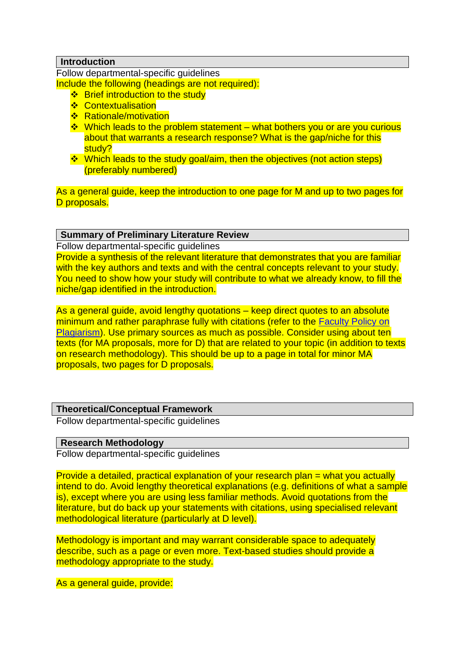### **Introduction**

Follow departmental-specific guidelines Include the following (headings are not required):

- $\div$  Brief introduction to the study
- **❖ Contextualisation**
- ❖ Rationale/motivation
- Which leads to the problem statement what bothers you or are you curious about that warrants a research response? What is the gap/niche for this study?
- $\cdot$  Which leads to the study goal/aim, then the objectives (not action steps) (preferably numbered)

As a general guide, keep the introduction to one page for M and up to two pages for D proposals.

### **Summary of Preliminary Literature Review**

Follow departmental-specific guidelines

Provide a synthesis of the relevant literature that demonstrates that you are familiar with the key authors and texts and with the central concepts relevant to your study. You need to show how your study will contribute to what we already know, to fill the niche/gap identified in the introduction.

As a general guide, avoid lengthy quotations – keep direct quotes to an absolute minimum and rather paraphrase fully with citations (refer to the [Faculty Policy on](http://www.uj.ac.za/EN/Faculties/humanities/researchcentres/Documents/plagiarism%20information/Humanities%20Plagiarism%20Policy%202011.pdf)  [Plagiarism\)](http://www.uj.ac.za/EN/Faculties/humanities/researchcentres/Documents/plagiarism%20information/Humanities%20Plagiarism%20Policy%202011.pdf). Use primary sources as much as possible. Consider using about ten texts (for MA proposals, more for D) that are related to your topic (in addition to texts on research methodology). This should be up to a page in total for minor MA proposals, two pages for D proposals.

#### **Theoretical/Conceptual Framework**

Follow departmental-specific guidelines

#### **Research Methodology**

Follow departmental-specific guidelines

Provide a detailed, practical explanation of your research plan = what you actually intend to do. Avoid lengthy theoretical explanations (e.g. definitions of what a sample is), except where you are using less familiar methods. Avoid quotations from the literature, but do back up your statements with citations, using specialised relevant methodological literature (particularly at D level).

Methodology is important and may warrant considerable space to adequately describe, such as a page or even more. Text-based studies should provide a methodology appropriate to the study.

As a general guide, provide: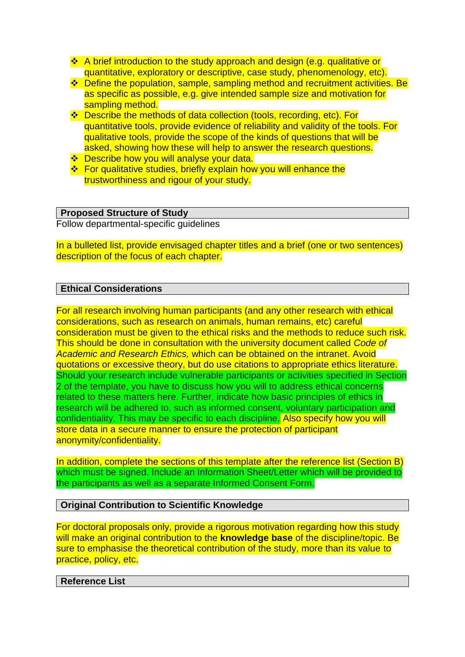- ❖ A brief introduction to the study approach and design (e.g. qualitative or quantitative, exploratory or descriptive, case study, phenomenology, etc).
- **Ex** Define the population, sample, sampling method and recruitment activities. Be as specific as possible, e.g. give intended sample size and motivation for sampling method.
- ❖ Describe the methods of data collection (tools, recording, etc). For quantitative tools, provide evidence of reliability and validity of the tools. For qualitative tools, provide the scope of the kinds of questions that will be asked, showing how these will help to answer the research questions.
- ❖ Describe how you will analyse your data.
- **E** For qualitative studies, briefly explain how you will enhance the trustworthiness and rigour of your study.

### **Proposed Structure of Study**

Follow departmental-specific guidelines

In a bulleted list, provide envisaged chapter titles and a brief (one or two sentences) description of the focus of each chapter.

### **Ethical Considerations**

For all research involving human participants (and any other research with ethical considerations, such as research on animals, human remains, etc) careful consideration must be given to the ethical risks and the methods to reduce such risk. This should be done in consultation with the university document called *Code of Academic and Research Ethics,* which can be obtained on the intranet. Avoid quotations or excessive theory, but do use citations to appropriate ethics literature. Should your research include vulnerable participants or activities specified in Section 2 of the template, you have to discuss how you will to address ethical concerns related to these matters here. Further, indicate how basic principles of ethics in research will be adhered to, such as informed consent, voluntary participation and confidentiality. This may be specific to each discipline. Also specify how you will store data in a secure manner to ensure the protection of participant anonymity/confidentiality.

In addition, complete the sections of this template after the reference list (Section B) which must be signed. Include an Information Sheet/Letter which will be provided to the participants as well as a separate Informed Consent Form.

### **Original Contribution to Scientific Knowledge**

For doctoral proposals only, provide a rigorous motivation regarding how this study will make an original contribution to the **knowledge base** of the discipline/topic. Be sure to emphasise the theoretical contribution of the study, more than its value to practice, policy, etc.

### **Reference List**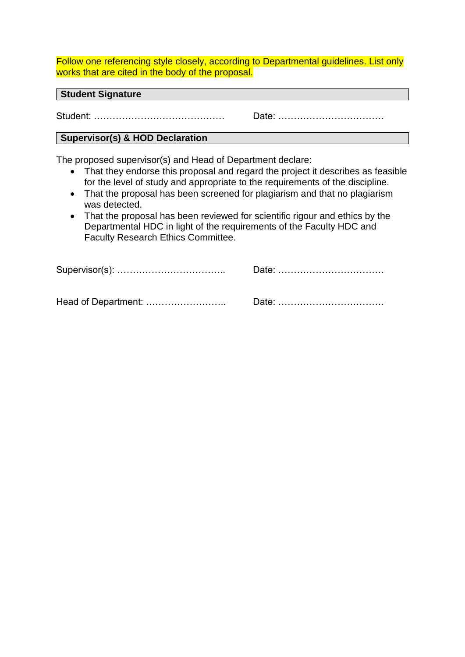Follow one referencing style closely, according to Departmental guidelines. List only works that are cited in the body of the proposal.

**Student Signature**

Student: …………………………………… Date: …………………………….

### **Supervisor(s) & HOD Declaration**

The proposed supervisor(s) and Head of Department declare:

- That they endorse this proposal and regard the project it describes as feasible for the level of study and appropriate to the requirements of the discipline.
- That the proposal has been screened for plagiarism and that no plagiarism was detected.
- That the proposal has been reviewed for scientific rigour and ethics by the Departmental HDC in light of the requirements of the Faculty HDC and Faculty Research Ethics Committee.

Head of Department: …………………….. Date: …………………………….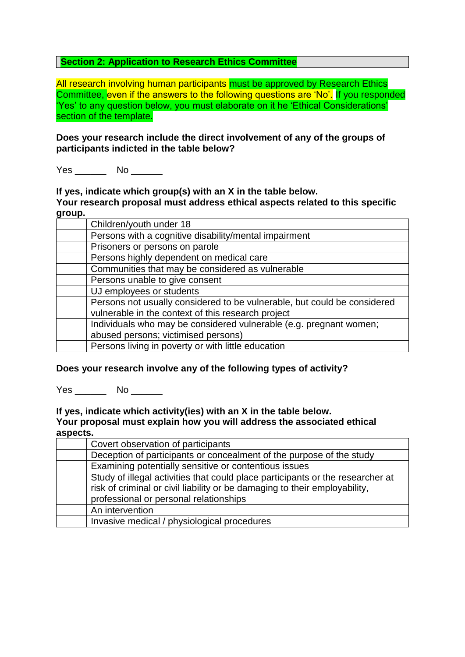### **Section 2: Application to Research Ethics Committee**

All research involving human participants must be approved by Research Ethics Committee, even if the answers to the following questions are 'No'. If you responded 'Yes' to any question below, you must elaborate on it he 'Ethical Considerations' section of the template.

**Does your research include the direct involvement of any of the groups of participants indicted in the table below?**

Yes No No  $\sim$ 

**If yes, indicate which group(s) with an X in the table below.** 

**Your research proposal must address ethical aspects related to this specific group.**

| Children/youth under 18                                                  |
|--------------------------------------------------------------------------|
| Persons with a cognitive disability/mental impairment                    |
| Prisoners or persons on parole                                           |
| Persons highly dependent on medical care                                 |
| Communities that may be considered as vulnerable                         |
| Persons unable to give consent                                           |
| UJ employees or students                                                 |
| Persons not usually considered to be vulnerable, but could be considered |
| vulnerable in the context of this research project                       |
| Individuals who may be considered vulnerable (e.g. pregnant women;       |
| abused persons; victimised persons)                                      |
| Persons living in poverty or with little education                       |

### **Does your research involve any of the following types of activity?**

Yes No No  $\sim$ 

**If yes, indicate which activity(ies) with an X in the table below. Your proposal must explain how you will address the associated ethical aspects.**

| Covert observation of participants                                             |
|--------------------------------------------------------------------------------|
| Deception of participants or concealment of the purpose of the study           |
| Examining potentially sensitive or contentious issues                          |
| Study of illegal activities that could place participants or the researcher at |
| risk of criminal or civil liability or be damaging to their employability,     |
| professional or personal relationships                                         |
| An intervention                                                                |
| Invasive medical / physiological procedures                                    |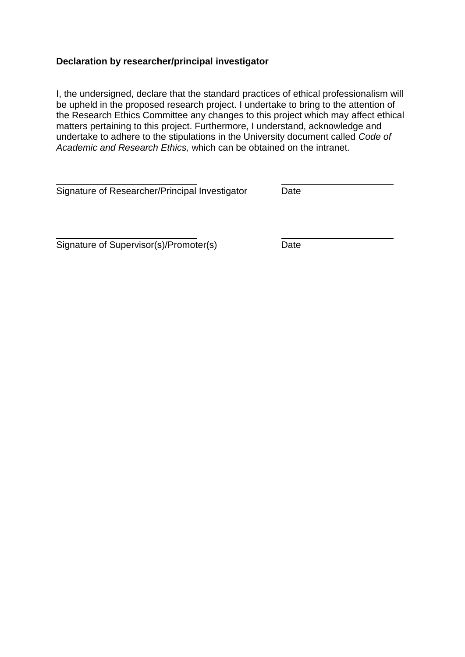### **Declaration by researcher/principal investigator**

I, the undersigned, declare that the standard practices of ethical professionalism will be upheld in the proposed research project. I undertake to bring to the attention of the Research Ethics Committee any changes to this project which may affect ethical matters pertaining to this project. Furthermore, I understand, acknowledge and undertake to adhere to the stipulations in the University document called *Code of Academic and Research Ethics,* which can be obtained on the intranet.

Signature of Researcher/Principal Investigator Date

Signature of Supervisor(s)/Promoter(s) Date